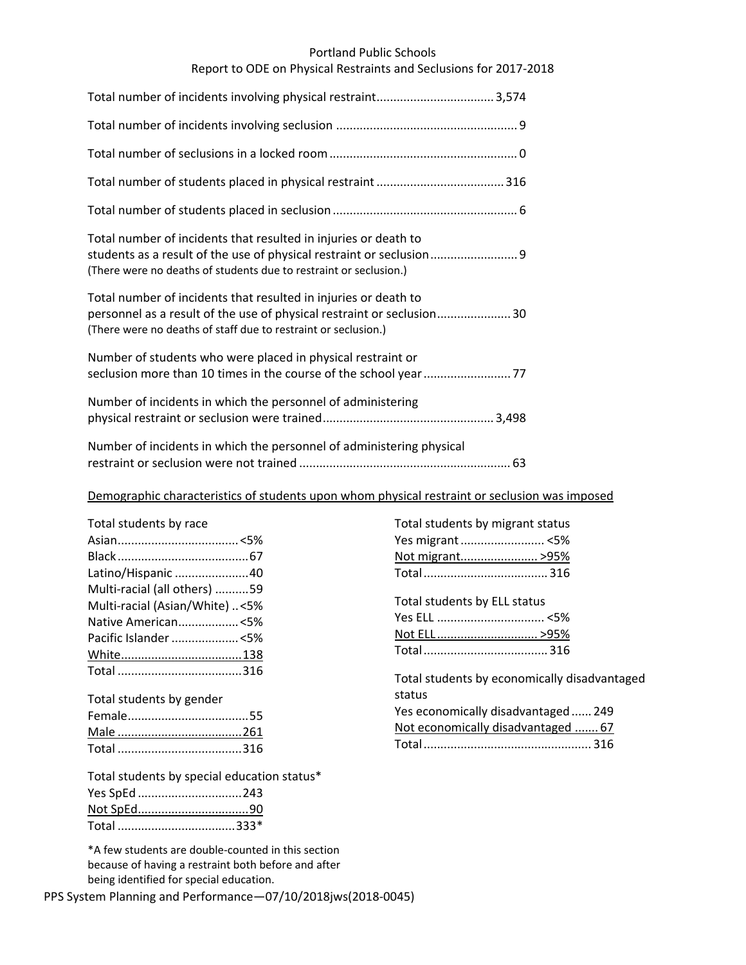## Portland Public Schools

# Report to ODE on Physical Restraints and Seclusions for 2017‐2018

| Total number of incidents that resulted in injuries or death to<br>(There were no deaths of students due to restraint or seclusion.)                                                                       |
|------------------------------------------------------------------------------------------------------------------------------------------------------------------------------------------------------------|
| Total number of incidents that resulted in injuries or death to<br>personnel as a result of the use of physical restraint or seclusion30<br>(There were no deaths of staff due to restraint or seclusion.) |
| Number of students who were placed in physical restraint or                                                                                                                                                |
| Number of incidents in which the personnel of administering                                                                                                                                                |
| Number of incidents in which the personnel of administering physical                                                                                                                                       |

# Demographic characteristics of students upon whom physical restraint or seclusion was imposed

| Total students by race         |  |
|--------------------------------|--|
|                                |  |
|                                |  |
| Latino/Hispanic 40             |  |
| Multi-racial (all others) 59   |  |
| Multi-racial (Asian/White) <5% |  |
| Native American<5%             |  |
| Pacific Islander <5%           |  |
|                                |  |
|                                |  |

| Total students by gender |  |
|--------------------------|--|
|                          |  |
|                          |  |
|                          |  |

|              | Total students by special education status* |
|--------------|---------------------------------------------|
| Yes SpEd 243 |                                             |
|              |                                             |
| Total 333*   |                                             |

\*A few students are double‐counted in this section because of having a restraint both before and after being identified for special education.

PPS System Planning and Performance—07/10/2018jws(2018‐0045)

| Total students by migrant status |  |
|----------------------------------|--|
|                                  |  |
| Not migrant >95%                 |  |
|                                  |  |
|                                  |  |

Total students by ELL status Yes ELL ................................ <5% Not ELL .............................. >95% Total..................................... 316

Total students by economically disadvantaged status Yes economically disadvantaged...... 249 Not economically disadvantaged ....... 67 Total.................................................. 316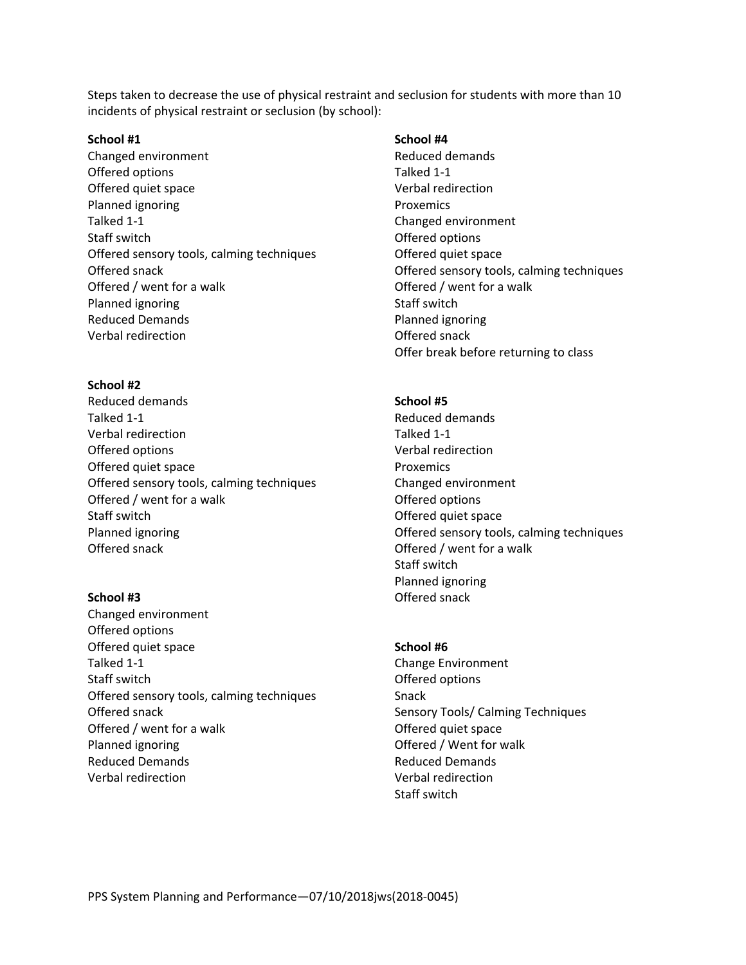Steps taken to decrease the use of physical restraint and seclusion for students with more than 10 incidents of physical restraint or seclusion (by school):

## **School #1**

Changed environment Offered options Offered quiet space Planned ignoring Talked 1‐1 Staff switch Offered sensory tools, calming techniques Offered snack Offered / went for a walk Planned ignoring Reduced Demands Verbal redirection

### **School #2**

Reduced demands Talked 1‐1 Verbal redirection Offered options Offered quiet space Offered sensory tools, calming techniques Offered / went for a walk Staff switch Planned ignoring Offered snack

### **School #3**

Changed environment Offered options Offered quiet space Talked 1‐1 Staff switch Offered sensory tools, calming techniques Offered snack Offered / went for a walk Planned ignoring Reduced Demands Verbal redirection

# **School #4**

Reduced demands Talked 1‐1 Verbal redirection Proxemics Changed environment Offered options Offered quiet space Offered sensory tools, calming techniques Offered / went for a walk Staff switch Planned ignoring Offered snack Offer break before returning to class

### **School #5**

Reduced demands Talked 1‐1 Verbal redirection Proxemics Changed environment Offered options Offered quiet space Offered sensory tools, calming techniques Offered / went for a walk Staff switch Planned ignoring Offered snack

#### **School #6**

Change Environment Offered options Snack Sensory Tools/ Calming Techniques Offered quiet space Offered / Went for walk Reduced Demands Verbal redirection Staff switch